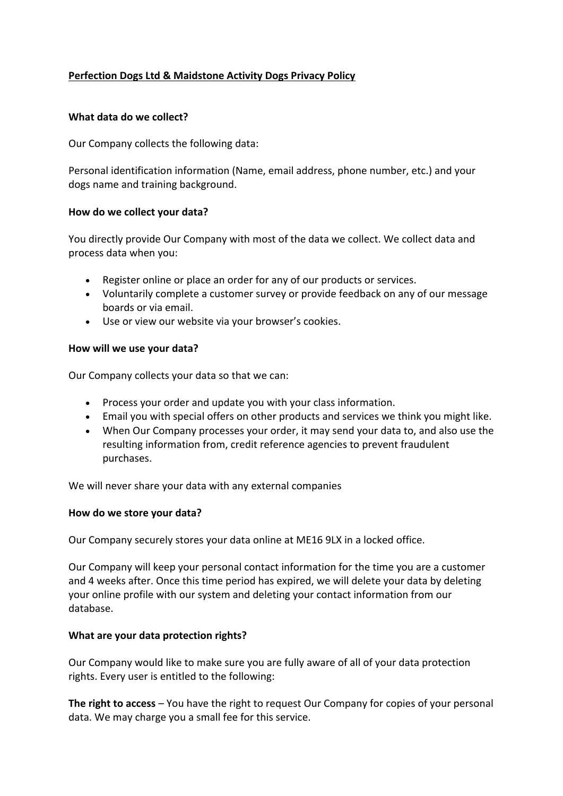# **Perfection Dogs Ltd & Maidstone Activity Dogs Privacy Policy**

## **What data do we collect?**

Our Company collects the following data:

Personal identification information (Name, email address, phone number, etc.) and your dogs name and training background.

## **How do we collect your data?**

You directly provide Our Company with most of the data we collect. We collect data and process data when you:

- Register online or place an order for any of our products or services.
- Voluntarily complete a customer survey or provide feedback on any of our message boards or via email.
- Use or view our website via your browser's cookies.

## **How will we use your data?**

Our Company collects your data so that we can:

- Process your order and update you with your class information.
- Email you with special offers on other products and services we think you might like.
- When Our Company processes your order, it may send your data to, and also use the resulting information from, credit reference agencies to prevent fraudulent purchases.

We will never share your data with any external companies

### **How do we store your data?**

Our Company securely stores your data online at ME16 9LX in a locked office.

Our Company will keep your personal contact information for the time you are a customer and 4 weeks after. Once this time period has expired, we will delete your data by deleting your online profile with our system and deleting your contact information from our database.

### **What are your data protection rights?**

Our Company would like to make sure you are fully aware of all of your data protection rights. Every user is entitled to the following:

**The right to access** – You have the right to request Our Company for copies of your personal data. We may charge you a small fee for this service.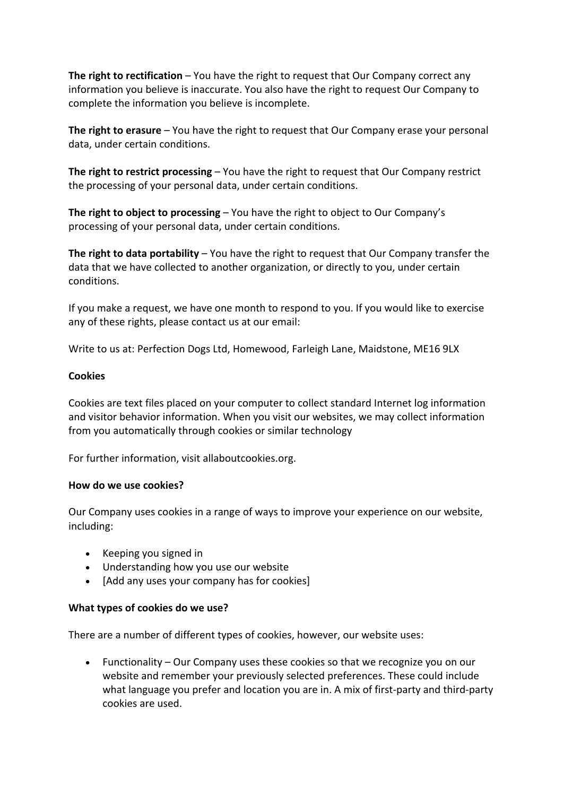**The right to rectification** – You have the right to request that Our Company correct any information you believe is inaccurate. You also have the right to request Our Company to complete the information you believe is incomplete.

**The right to erasure** – You have the right to request that Our Company erase your personal data, under certain conditions.

**The right to restrict processing** – You have the right to request that Our Company restrict the processing of your personal data, under certain conditions.

**The right to object to processing** – You have the right to object to Our Company's processing of your personal data, under certain conditions.

**The right to data portability** – You have the right to request that Our Company transfer the data that we have collected to another organization, or directly to you, under certain conditions.

If you make a request, we have one month to respond to you. If you would like to exercise any of these rights, please contact us at our email:

Write to us at: Perfection Dogs Ltd, Homewood, Farleigh Lane, Maidstone, ME16 9LX

### **Cookies**

Cookies are text files placed on your computer to collect standard Internet log information and visitor behavior information. When you visit our websites, we may collect information from you automatically through cookies or similar technology

For further information, visit allaboutcookies.org.

### **How do we use cookies?**

Our Company uses cookies in a range of ways to improve your experience on our website, including:

- Keeping you signed in
- Understanding how you use our website
- [Add any uses your company has for cookies]

### **What types of cookies do we use?**

There are a number of different types of cookies, however, our website uses:

• Functionality – Our Company uses these cookies so that we recognize you on our website and remember your previously selected preferences. These could include what language you prefer and location you are in. A mix of first-party and third-party cookies are used.